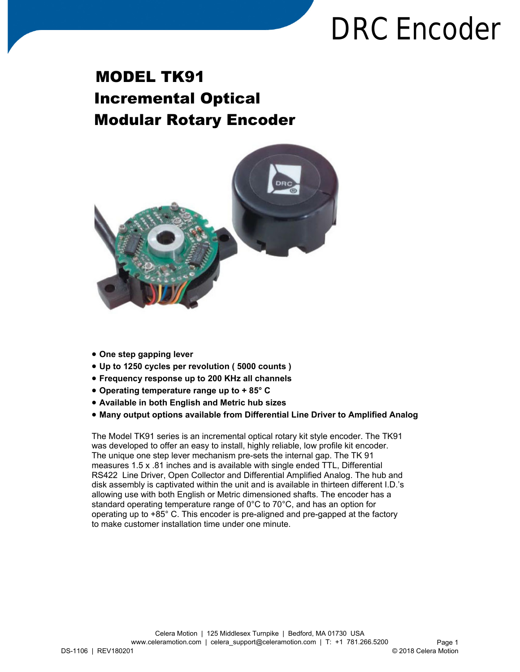## **DRC Encoder**

## MODEL TK91 Incremental Optical Modular Rotary Encoder



- **One step gapping lever**
- **Up to 1250 cycles per revolution ( 5000 counts )**
- **Frequency response up to 200 KHz all channels**
- **Operating temperature range up to + 85° C**
- **Available in both English and Metric hub sizes**
- **Many output options available from Differential Line Driver to Amplified Analog**

The Model TK91 series is an incremental optical rotary kit style encoder. The TK91 was developed to offer an easy to install, highly reliable, low profile kit encoder. The unique one step lever mechanism pre-sets the internal gap. The TK 91 measures 1.5 x .81 inches and is available with single ended TTL, Differential RS422 Line Driver, Open Collector and Differential Amplified Analog. The hub and disk assembly is captivated within the unit and is available in thirteen different I.D.'s allowing use with both English or Metric dimensioned shafts. The encoder has a standard operating temperature range of 0°C to 70°C, and has an option for operating up to +85° C. This encoder is pre-aligned and pre-gapped at the factory to make customer installation time under one minute.